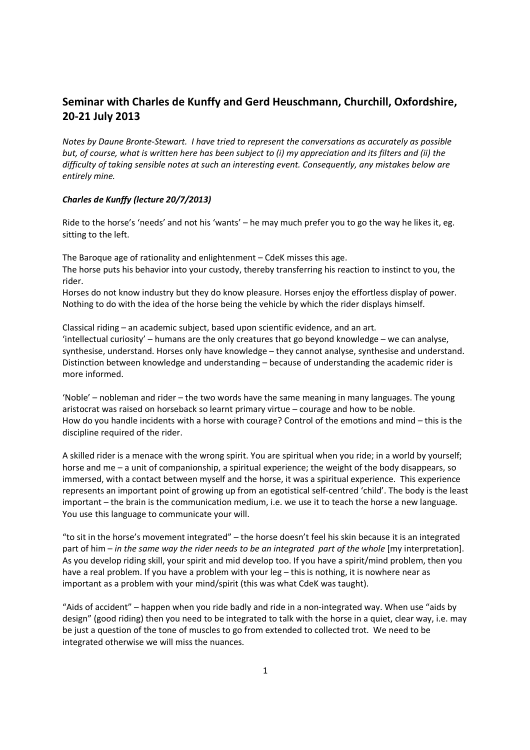# **Seminar with Charles de Kunffy and Gerd Heuschmann, Churchill, Oxfordshire, 20-21 July 2013**

*Notes by Daune Bronte-Stewart. I have tried to represent the conversations as accurately as possible but, of course, what is written here has been subject to (i) my appreciation and its filters and (ii) the difficulty of taking sensible notes at such an interesting event. Consequently, any mistakes below are entirely mine.* 

## *Charles de Kunffy (lecture 20/7/2013)*

Ride to the horse's 'needs' and not his 'wants' – he may much prefer you to go the way he likes it, eg. sitting to the left.

The Baroque age of rationality and enlightenment – CdeK misses this age. The horse puts his behavior into your custody, thereby transferring his reaction to instinct to you, the rider.

Horses do not know industry but they do know pleasure. Horses enjoy the effortless display of power. Nothing to do with the idea of the horse being the vehicle by which the rider displays himself.

Classical riding – an academic subject, based upon scientific evidence, and an art. 'intellectual curiosity' – humans are the only creatures that go beyond knowledge – we can analyse, synthesise, understand. Horses only have knowledge – they cannot analyse, synthesise and understand. Distinction between knowledge and understanding – because of understanding the academic rider is more informed.

'Noble' – nobleman and rider – the two words have the same meaning in many languages. The young aristocrat was raised on horseback so learnt primary virtue – courage and how to be noble. How do you handle incidents with a horse with courage? Control of the emotions and mind – this is the discipline required of the rider.

A skilled rider is a menace with the wrong spirit. You are spiritual when you ride; in a world by yourself; horse and me – a unit of companionship, a spiritual experience; the weight of the body disappears, so immersed, with a contact between myself and the horse, it was a spiritual experience. This experience represents an important point of growing up from an egotistical self-centred 'child'. The body is the least important – the brain is the communication medium, i.e. we use it to teach the horse a new language. You use this language to communicate your will.

"to sit in the horse's movement integrated" – the horse doesn't feel his skin because it is an integrated part of him – *in the same way the rider needs to be an integrated part of the whole* [my interpretation]. As you develop riding skill, your spirit and mid develop too. If you have a spirit/mind problem, then you have a real problem. If you have a problem with your leg – this is nothing, it is nowhere near as important as a problem with your mind/spirit (this was what CdeK was taught).

"Aids of accident" – happen when you ride badly and ride in a non-integrated way. When use "aids by design" (good riding) then you need to be integrated to talk with the horse in a quiet, clear way, i.e. may be just a question of the tone of muscles to go from extended to collected trot. We need to be integrated otherwise we will miss the nuances.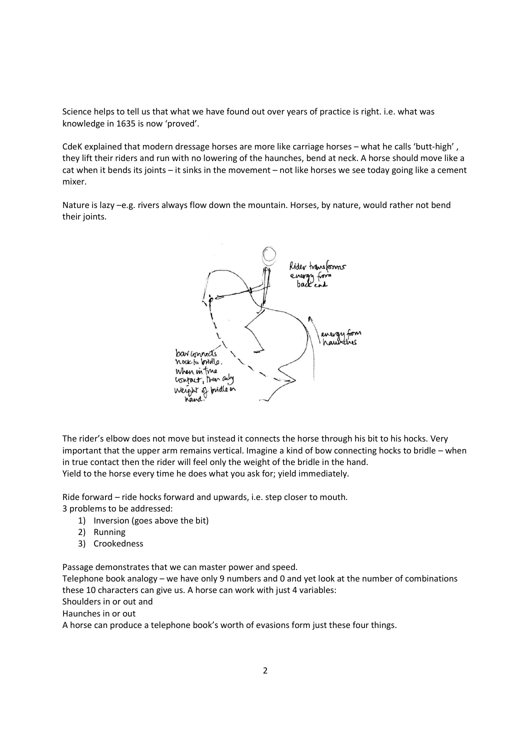Science helps to tell us that what we have found out over years of practice is right. i.e. what was knowledge in 1635 is now 'proved'.

CdeK explained that modern dressage horses are more like carriage horses – what he calls 'butt-high' , they lift their riders and run with no lowering of the haunches, bend at neck. A horse should move like a cat when it bends its joints – it sinks in the movement – not like horses we see today going like a cement mixer.

Nature is lazy –e.g. rivers always flow down the mountain. Horses, by nature, would rather not bend their joints.



The rider's elbow does not move but instead it connects the horse through his bit to his hocks. Very important that the upper arm remains vertical. Imagine a kind of bow connecting hocks to bridle – when in true contact then the rider will feel only the weight of the bridle in the hand. Yield to the horse every time he does what you ask for; yield immediately.

Ride forward – ride hocks forward and upwards, i.e. step closer to mouth.

3 problems to be addressed:

- 1) Inversion (goes above the bit)
- 2) Running
- 3) Crookedness

Passage demonstrates that we can master power and speed.

Telephone book analogy – we have only 9 numbers and 0 and yet look at the number of combinations these 10 characters can give us. A horse can work with just 4 variables:

Shoulders in or out and

Haunches in or out

A horse can produce a telephone book's worth of evasions form just these four things.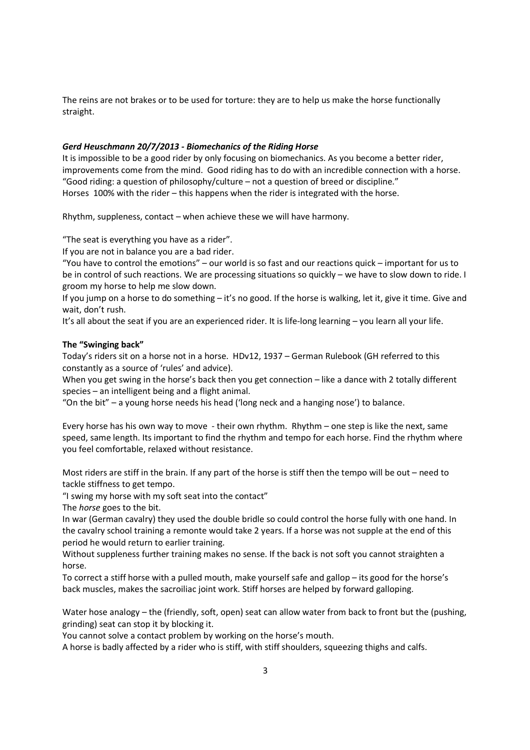The reins are not brakes or to be used for torture: they are to help us make the horse functionally straight.

#### *Gerd Heuschmann 20/7/2013 - Biomechanics of the Riding Horse*

It is impossible to be a good rider by only focusing on biomechanics. As you become a better rider, improvements come from the mind. Good riding has to do with an incredible connection with a horse. "Good riding: a question of philosophy/culture – not a question of breed or discipline." Horses 100% with the rider – this happens when the rider is integrated with the horse.

Rhythm, suppleness, contact – when achieve these we will have harmony.

"The seat is everything you have as a rider".

If you are not in balance you are a bad rider.

"You have to control the emotions" – our world is so fast and our reactions quick – important for us to be in control of such reactions. We are processing situations so quickly – we have to slow down to ride. I groom my horse to help me slow down.

If you jump on a horse to do something – it's no good. If the horse is walking, let it, give it time. Give and wait, don't rush.

It's all about the seat if you are an experienced rider. It is life-long learning – you learn all your life.

#### **The "Swinging back"**

Today's riders sit on a horse not in a horse. HDv12, 1937 – German Rulebook (GH referred to this constantly as a source of 'rules' and advice).

When you get swing in the horse's back then you get connection – like a dance with 2 totally different species – an intelligent being and a flight animal.

"On the bit" – a young horse needs his head ('long neck and a hanging nose') to balance.

Every horse has his own way to move - their own rhythm. Rhythm – one step is like the next, same speed, same length. Its important to find the rhythm and tempo for each horse. Find the rhythm where you feel comfortable, relaxed without resistance.

Most riders are stiff in the brain. If any part of the horse is stiff then the tempo will be out – need to tackle stiffness to get tempo.

"I swing my horse with my soft seat into the contact"

The *horse* goes to the bit.

In war (German cavalry) they used the double bridle so could control the horse fully with one hand. In the cavalry school training a remonte would take 2 years. If a horse was not supple at the end of this period he would return to earlier training.

Without suppleness further training makes no sense. If the back is not soft you cannot straighten a horse.

To correct a stiff horse with a pulled mouth, make yourself safe and gallop – its good for the horse's back muscles, makes the sacroiliac joint work. Stiff horses are helped by forward galloping.

Water hose analogy – the (friendly, soft, open) seat can allow water from back to front but the (pushing, grinding) seat can stop it by blocking it.

You cannot solve a contact problem by working on the horse's mouth.

A horse is badly affected by a rider who is stiff, with stiff shoulders, squeezing thighs and calfs.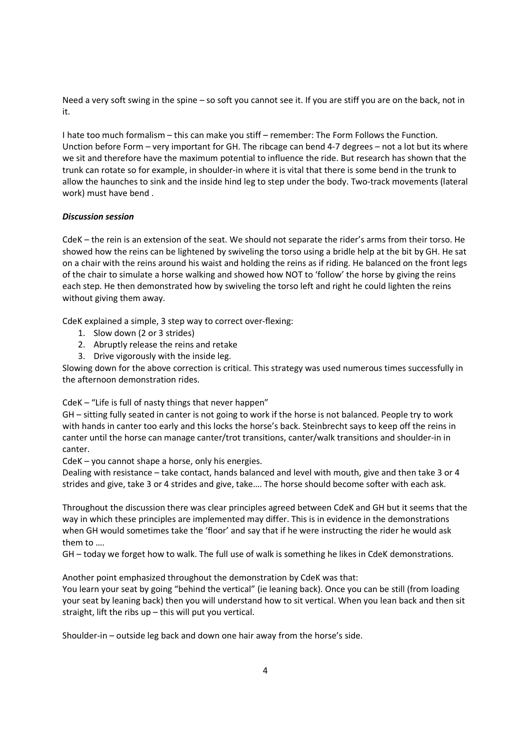Need a very soft swing in the spine – so soft you cannot see it. If you are stiff you are on the back, not in it.

I hate too much formalism – this can make you stiff – remember: The Form Follows the Function. Unction before Form – very important for GH. The ribcage can bend 4-7 degrees – not a lot but its where we sit and therefore have the maximum potential to influence the ride. But research has shown that the trunk can rotate so for example, in shoulder-in where it is vital that there is some bend in the trunk to allow the haunches to sink and the inside hind leg to step under the body. Two-track movements (lateral work) must have bend .

## *Discussion session*

CdeK – the rein is an extension of the seat. We should not separate the rider's arms from their torso. He showed how the reins can be lightened by swiveling the torso using a bridle help at the bit by GH. He sat on a chair with the reins around his waist and holding the reins as if riding. He balanced on the front legs of the chair to simulate a horse walking and showed how NOT to 'follow' the horse by giving the reins each step. He then demonstrated how by swiveling the torso left and right he could lighten the reins without giving them away.

CdeK explained a simple, 3 step way to correct over-flexing:

- 1. Slow down (2 or 3 strides)
- 2. Abruptly release the reins and retake
- 3. Drive vigorously with the inside leg.

Slowing down for the above correction is critical. This strategy was used numerous times successfully in the afternoon demonstration rides.

CdeK – "Life is full of nasty things that never happen"

GH – sitting fully seated in canter is not going to work if the horse is not balanced. People try to work with hands in canter too early and this locks the horse's back. Steinbrecht says to keep off the reins in canter until the horse can manage canter/trot transitions, canter/walk transitions and shoulder-in in canter.

CdeK – you cannot shape a horse, only his energies.

Dealing with resistance – take contact, hands balanced and level with mouth, give and then take 3 or 4 strides and give, take 3 or 4 strides and give, take…. The horse should become softer with each ask.

Throughout the discussion there was clear principles agreed between CdeK and GH but it seems that the way in which these principles are implemented may differ. This is in evidence in the demonstrations when GH would sometimes take the 'floor' and say that if he were instructing the rider he would ask them to ….

GH – today we forget how to walk. The full use of walk is something he likes in CdeK demonstrations.

Another point emphasized throughout the demonstration by CdeK was that:

You learn your seat by going "behind the vertical" (ie leaning back). Once you can be still (from loading your seat by leaning back) then you will understand how to sit vertical. When you lean back and then sit straight, lift the ribs up – this will put you vertical.

Shoulder-in – outside leg back and down one hair away from the horse's side.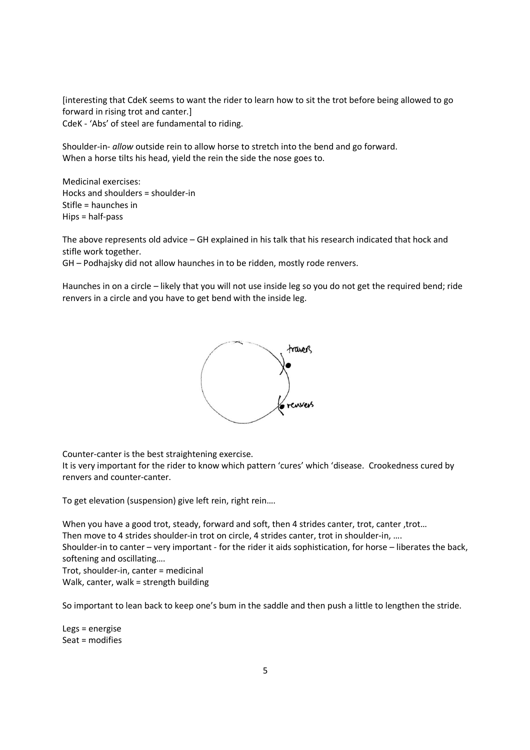[interesting that CdeK seems to want the rider to learn how to sit the trot before being allowed to go forward in rising trot and canter.] CdeK - 'Abs' of steel are fundamental to riding.

Shoulder-in- *allow* outside rein to allow horse to stretch into the bend and go forward. When a horse tilts his head, yield the rein the side the nose goes to.

Medicinal exercises: Hocks and shoulders = shoulder-in Stifle = haunches in Hips = half-pass

The above represents old advice – GH explained in his talk that his research indicated that hock and stifle work together.

GH – Podhajsky did not allow haunches in to be ridden, mostly rode renvers.

Haunches in on a circle – likely that you will not use inside leg so you do not get the required bend; ride renvers in a circle and you have to get bend with the inside leg.



Counter-canter is the best straightening exercise.

It is very important for the rider to know which pattern 'cures' which 'disease. Crookedness cured by renvers and counter-canter.

To get elevation (suspension) give left rein, right rein….

When you have a good trot, steady, forward and soft, then 4 strides canter, trot, canter, trot...

Then move to 4 strides shoulder-in trot on circle, 4 strides canter, trot in shoulder-in, ….

Shoulder-in to canter – very important - for the rider it aids sophistication, for horse – liberates the back, softening and oscillating….

Trot, shoulder-in, canter = medicinal Walk, canter, walk = strength building

So important to lean back to keep one's bum in the saddle and then push a little to lengthen the stride.

Legs = energise Seat = modifies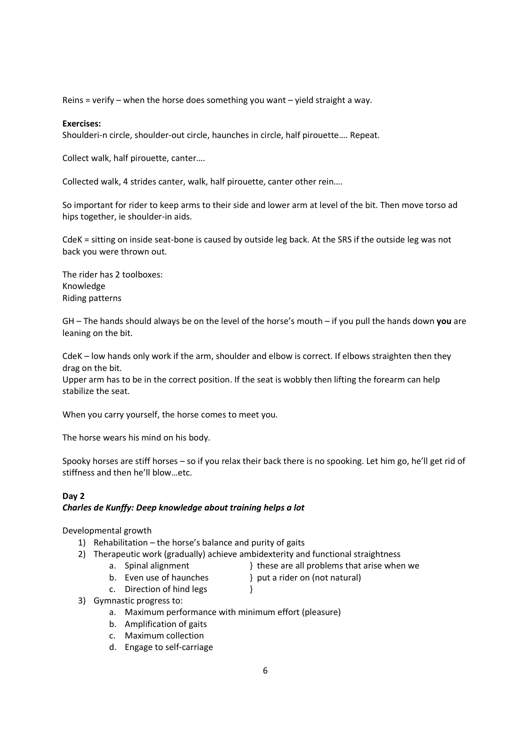Reins = verify – when the horse does something you want – yield straight a way.

## **Exercises:**

Shoulderi-n circle, shoulder-out circle, haunches in circle, half pirouette…. Repeat.

Collect walk, half pirouette, canter….

Collected walk, 4 strides canter, walk, half pirouette, canter other rein….

So important for rider to keep arms to their side and lower arm at level of the bit. Then move torso ad hips together, ie shoulder-in aids.

CdeK = sitting on inside seat-bone is caused by outside leg back. At the SRS if the outside leg was not back you were thrown out.

The rider has 2 toolboxes: Knowledge Riding patterns

GH – The hands should always be on the level of the horse's mouth – if you pull the hands down **you** are leaning on the bit.

CdeK – low hands only work if the arm, shoulder and elbow is correct. If elbows straighten then they drag on the bit.

Upper arm has to be in the correct position. If the seat is wobbly then lifting the forearm can help stabilize the seat.

When you carry yourself, the horse comes to meet you.

The horse wears his mind on his body.

Spooky horses are stiff horses – so if you relax their back there is no spooking. Let him go, he'll get rid of stiffness and then he'll blow…etc.

## **Day 2**  *Charles de Kunffy: Deep knowledge about training helps a lot*

Developmental growth

- 1) Rehabilitation the horse's balance and purity of gaits
- 2) Therapeutic work (gradually) achieve ambidexterity and functional straightness
	-
	- a. Spinal alignment } these are all problems that arise when we
	- b. Even use of haunches and a rider on (not natural) c. Direction of hind legs  $\}$ 
		-
- 3) Gymnastic progress to:
	- a. Maximum performance with minimum effort (pleasure)
	- b. Amplification of gaits
	- c. Maximum collection
	- d. Engage to self-carriage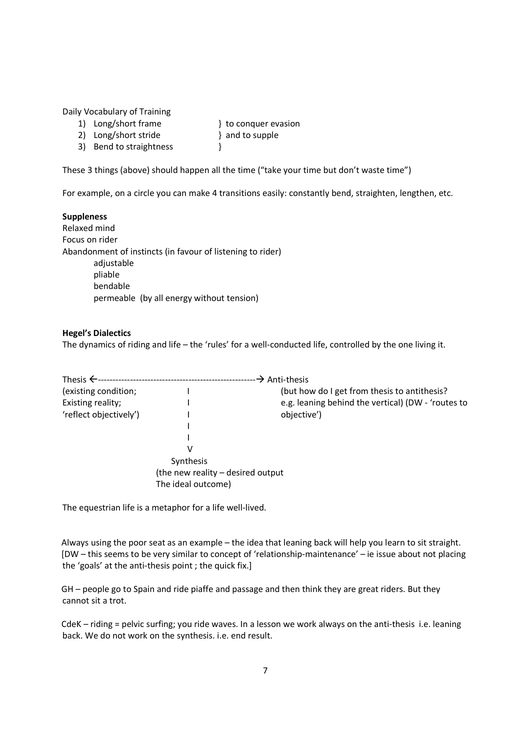Daily Vocabulary of Training

- 1) Long/short frame } to conquer evasion 2) Long/short stride } and to supple
- 3) Bend to straightness  $\}$

These 3 things (above) should happen all the time ("take your time but don't waste time")

For example, on a circle you can make 4 transitions easily: constantly bend, straighten, lengthen, etc.

# **Suppleness**

Relaxed mind Focus on rider Abandonment of instincts (in favour of listening to rider) adjustable pliable bendable permeable (by all energy without tension)

# **Hegel's Dialectics**

The dynamics of riding and life – the 'rules' for a well-conducted life, controlled by the one living it.

|                        |                                   | —→ Anti-thesis                                     |
|------------------------|-----------------------------------|----------------------------------------------------|
| (existing condition;   |                                   | (but how do I get from thesis to antithesis?       |
| Existing reality;      |                                   | e.g. leaning behind the vertical) (DW - 'routes to |
| 'reflect objectively') |                                   | objective')                                        |
|                        |                                   |                                                    |
|                        |                                   |                                                    |
|                        | v                                 |                                                    |
|                        | Synthesis                         |                                                    |
|                        | (the new reality – desired output |                                                    |
|                        | The ideal outcome)                |                                                    |

The equestrian life is a metaphor for a life well-lived.

Always using the poor seat as an example – the idea that leaning back will help you learn to sit straight. [DW – this seems to be very similar to concept of 'relationship-maintenance' – ie issue about not placing the 'goals' at the anti-thesis point ; the quick fix.]

GH – people go to Spain and ride piaffe and passage and then think they are great riders. But they cannot sit a trot.

CdeK – riding = pelvic surfing; you ride waves. In a lesson we work always on the anti-thesis i.e. leaning back. We do not work on the synthesis. i.e. end result.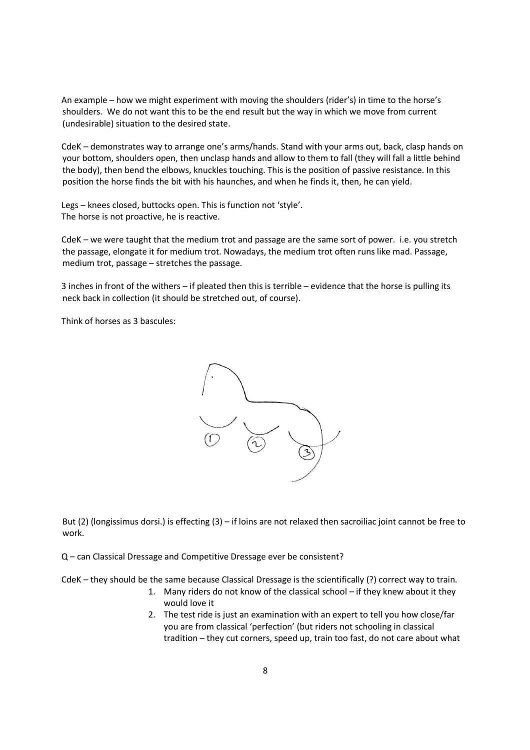An example – how we might experiment with moving the shoulders (rider's) in time to the horse's shoulders. We do not want this to be the end result but the way in which we move from current (undesirable) situation to the desired state.

CdeK – demonstrates way to arrange one's arms/hands. Stand with your arms out, back, clasp hands on your bottom, shoulders open, then unclasp hands and allow to them to fall (they will fall a little behind the body), then bend the elbows, knuckles touching. This is the position of passive resistance. In this position the horse finds the bit with his haunches, and when he finds it, then, he can yield.

Legs – knees closed, buttocks open. This is function not 'style'. The horse is not proactive, he is reactive.

CdeK – we were taught that the medium trot and passage are the same sort of power. i.e. you stretch the passage, elongate it for medium trot. Nowadays, the medium trot often runs like mad. Passage, medium trot, passage – stretches the passage.

3 inches in front of the withers – if pleated then this is terrible – evidence that the horse is pulling its neck back in collection (it should be stretched out, of course).

Think of horses as 3 bascules:



But (2) (longissimus dorsi.) is effecting (3) – if loins are not relaxed then sacroiliac joint cannot be free to work.

Q – can Classical Dressage and Competitive Dressage ever be consistent?

CdeK – they should be the same because Classical Dressage is the scientifically (?) correct way to train.

- 1. Many riders do not know of the classical school if they knew about it they would love it
- 2. The test ride is just an examination with an expert to tell you how close/far you are from classical 'perfection' (but riders not schooling in classical tradition – they cut corners, speed up, train too fast, do not care about what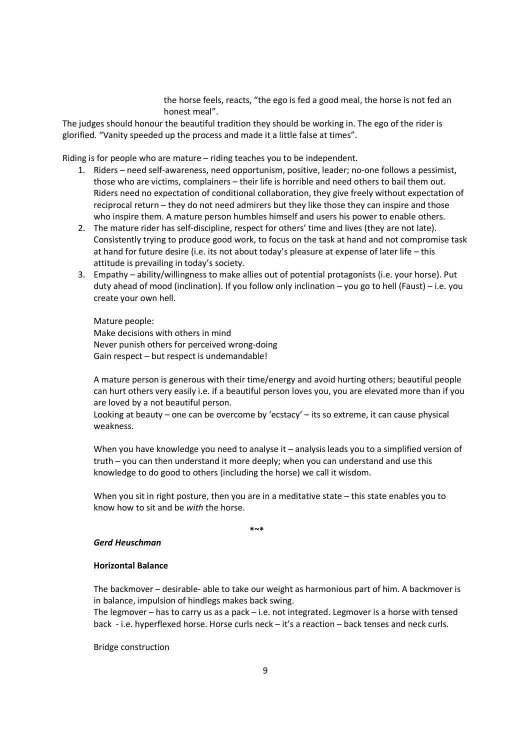the horse feels, reacts, "the ego is fed a good meal, the horse is not fed an honest meal".

The judges should honour the beautiful tradition they should be working in. The ego of the rider is glorified. "Vanity speeded up the process and made it a little false at times".

Riding is for people who are mature – riding teaches you to be independent.

- 1. Riders need self-awareness, need opportunism, positive, leader; no-one follows a pessimist, those who are victims, complainers – their life is horrible and need others to bail them out. Riders need no expectation of conditional collaboration, they give freely without expectation of reciprocal return – they do not need admirers but they like those they can inspire and those who inspire them. A mature person humbles himself and users his power to enable others.
- 2. The mature rider has self-discipline, respect for others' time and lives (they are not late). Consistently trying to produce good work, to focus on the task at hand and not compromise task at hand for future desire (i.e. its not about today's pleasure at expense of later life – this attitude is prevailing in today's society.
- 3. Empathy ability/willingness to make allies out of potential protagonists (i.e. your horse). Put duty ahead of mood (inclination). If you follow only inclination – you go to hell (Faust) – i.e. you create your own hell.

Mature people: Make decisions with others in mind Never punish others for perceived wrong-doing Gain respect – but respect is undemandable!

A mature person is generous with their time/energy and avoid hurting others; beautiful people can hurt others very easily i.e. if a beautiful person loves you, you are elevated more than if you are loved by a not beautiful person.

Looking at beauty – one can be overcome by 'ecstacy' – its so extreme, it can cause physical weakness.

When you have knowledge you need to analyse it – analysis leads you to a simplified version of truth – you can then understand it more deeply; when you can understand and use this knowledge to do good to others (including the horse) we call it wisdom.

When you sit in right posture, then you are in a meditative state – this state enables you to know how to sit and be *with* the horse.

★~\* **\***~\*

#### *Gerd Heuschman*

#### **Horizontal Balance**

The backmover – desirable- able to take our weight as harmonious part of him. A backmover is in balance, impulsion of hindlegs makes back swing.

The legmover – has to carry us as a pack – i.e. not integrated. Legmover is a horse with tensed back - i.e. hyperflexed horse. Horse curls neck – it's a reaction – back tenses and neck curls.

Bridge construction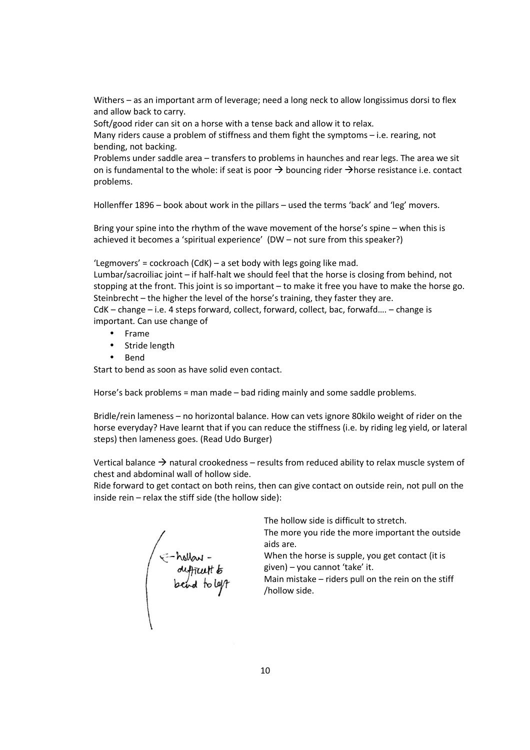Withers – as an important arm of leverage; need a long neck to allow longissimus dorsi to flex and allow back to carry.

Soft/good rider can sit on a horse with a tense back and allow it to relax.

Many riders cause a problem of stiffness and them fight the symptoms – i.e. rearing, not bending, not backing.

Problems under saddle area – transfers to problems in haunches and rear legs. The area we sit on is fundamental to the whole: if seat is poor  $\rightarrow$  bouncing rider  $\rightarrow$  horse resistance i.e. contact problems.

Hollenffer 1896 – book about work in the pillars – used the terms 'back' and 'leg' movers.

Bring your spine into the rhythm of the wave movement of the horse's spine – when this is achieved it becomes a 'spiritual experience' (DW – not sure from this speaker?)

'Legmovers' = cockroach (CdK) – a set body with legs going like mad.

Lumbar/sacroiliac joint – if half-halt we should feel that the horse is closing from behind, not stopping at the front. This joint is so important – to make it free you have to make the horse go. Steinbrecht – the higher the level of the horse's training, they faster they are.

CdK – change – i.e. 4 steps forward, collect, forward, collect, bac, forwafd…. – change is important. Can use change of

- Frame
- Stride length
- Bend

Start to bend as soon as have solid even contact.

Horse's back problems = man made – bad riding mainly and some saddle problems.

Bridle/rein lameness – no horizontal balance. How can vets ignore 80kilo weight of rider on the horse everyday? Have learnt that if you can reduce the stiffness (i.e. by riding leg yield, or lateral steps) then lameness goes. (Read Udo Burger)

Vertical balance  $\rightarrow$  natural crookedness – results from reduced ability to relax muscle system of chest and abdominal wall of hollow side.

Ride forward to get contact on both reins, then can give contact on outside rein, not pull on the inside rein – relax the stiff side (the hollow side):

F-hollow -<br>duffruit to<br>bend to left

The hollow side is difficult to stretch.

The more you ride the more important the outside aids are.

When the horse is supple, you get contact (it is given) – you cannot 'take' it.

Main mistake – riders pull on the rein on the stiff /hollow side.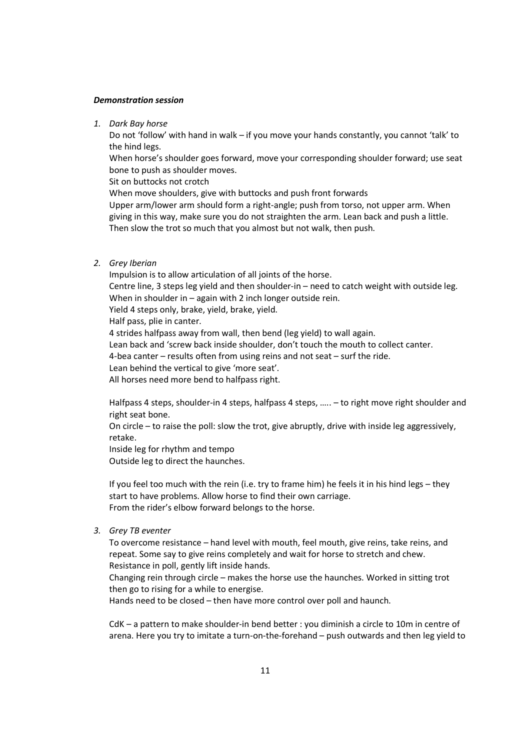#### *Demonstration session*

*1. Dark Bay horse* 

Do not 'follow' with hand in walk – if you move your hands constantly, you cannot 'talk' to the hind legs.

When horse's shoulder goes forward, move your corresponding shoulder forward; use seat bone to push as shoulder moves.

Sit on buttocks not crotch

When move shoulders, give with buttocks and push front forwards

Upper arm/lower arm should form a right-angle; push from torso, not upper arm. When giving in this way, make sure you do not straighten the arm. Lean back and push a little. Then slow the trot so much that you almost but not walk, then push.

*2. Grey Iberian* 

Impulsion is to allow articulation of all joints of the horse. Centre line, 3 steps leg yield and then shoulder-in – need to catch weight with outside leg. When in shoulder in – again with 2 inch longer outside rein. Yield 4 steps only, brake, yield, brake, yield.

Half pass, plie in canter.

4 strides halfpass away from wall, then bend (leg yield) to wall again.

Lean back and 'screw back inside shoulder, don't touch the mouth to collect canter.

4-bea canter – results often from using reins and not seat – surf the ride.

Lean behind the vertical to give 'more seat'.

All horses need more bend to halfpass right.

Halfpass 4 steps, shoulder-in 4 steps, halfpass 4 steps, ….. – to right move right shoulder and right seat bone.

On circle – to raise the poll: slow the trot, give abruptly, drive with inside leg aggressively, retake.

Inside leg for rhythm and tempo

Outside leg to direct the haunches.

If you feel too much with the rein (i.e. try to frame him) he feels it in his hind legs – they start to have problems. Allow horse to find their own carriage. From the rider's elbow forward belongs to the horse.

*3. Grey TB eventer* 

To overcome resistance – hand level with mouth, feel mouth, give reins, take reins, and repeat. Some say to give reins completely and wait for horse to stretch and chew. Resistance in poll, gently lift inside hands.

Changing rein through circle – makes the horse use the haunches. Worked in sitting trot then go to rising for a while to energise.

Hands need to be closed – then have more control over poll and haunch.

CdK – a pattern to make shoulder-in bend better : you diminish a circle to 10m in centre of arena. Here you try to imitate a turn-on-the-forehand – push outwards and then leg yield to